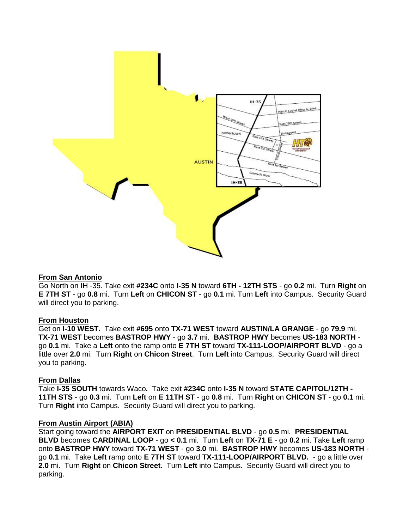

## **From San Antonio**

Go North on IH -35. Take exit **#234C** onto **I-35 N** toward **6TH - 12TH STS** - go **0.2** mi. Turn **Right** on **E 7TH ST** - go **0.8** mi. Turn **Left** on **CHICON ST** - go **0.1** mi. Turn **Left** into Campus. Security Guard will direct you to parking.

## **From Houston**

Get on **I-10 WEST.** Take exit **#695** onto **TX-71 WEST** toward **AUSTIN/LA GRANGE** - go **79.9** mi. **TX-71 WEST** becomes **BASTROP HWY** - go **3.7** mi. **BASTROP HWY** becomes **US-183 NORTH** go **0.1** mi. Take a **Left** onto the ramp onto **E 7TH ST** toward **TX-111-LOOP/AIRPORT BLVD** - go a little over **2.0** mi. Turn **Right** on **Chicon Street**. Turn **Left** into Campus. Security Guard will direct you to parking.

## **From Dallas**

Take **I-35 SOUTH** towards Waco**.** Take exit **#234C** onto **I-35 N** toward **STATE CAPITOL/12TH - 11TH STS** - go **0.3** mi. Turn **Left** on **E 11TH ST** - go **0.8** mi. Turn **Right** on **CHICON ST** - go **0.1** mi. Turn **Right** into Campus. Security Guard will direct you to parking.

### **From Austin Airport (ABIA)**

Start going toward the **AIRPORT EXIT** on **PRESIDENTIAL BLVD** - go **0.5** mi. **PRESIDENTIAL BLVD** becomes **CARDINAL LOOP** - go **< 0.1** mi. Turn **Left** on **TX-71 E** - go **0.2** mi. Take **Left** ramp onto **BASTROP HWY** toward **TX-71 WEST** - go **3.0** mi. **BASTROP HWY** becomes **US-183 NORTH** go **0.1** mi. Take **Left** ramp onto **E 7TH ST** toward **TX-111-LOOP/AIRPORT BLVD.** - go a little over **2.0** mi. Turn **Right** on **Chicon Street**. Turn **Left** into Campus. Security Guard will direct you to parking.